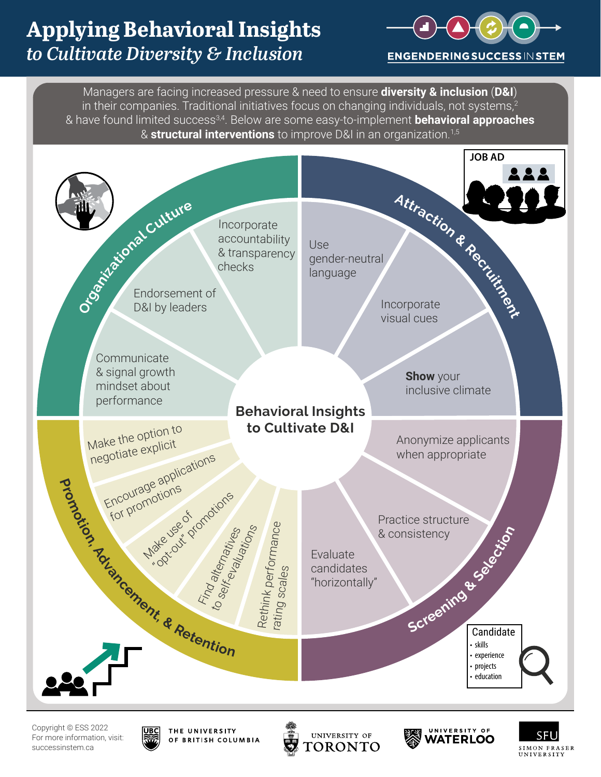



Copyright © ESS 2022 For more information, visit: successinstem.ca



UNIVERSITY OF TORONTO



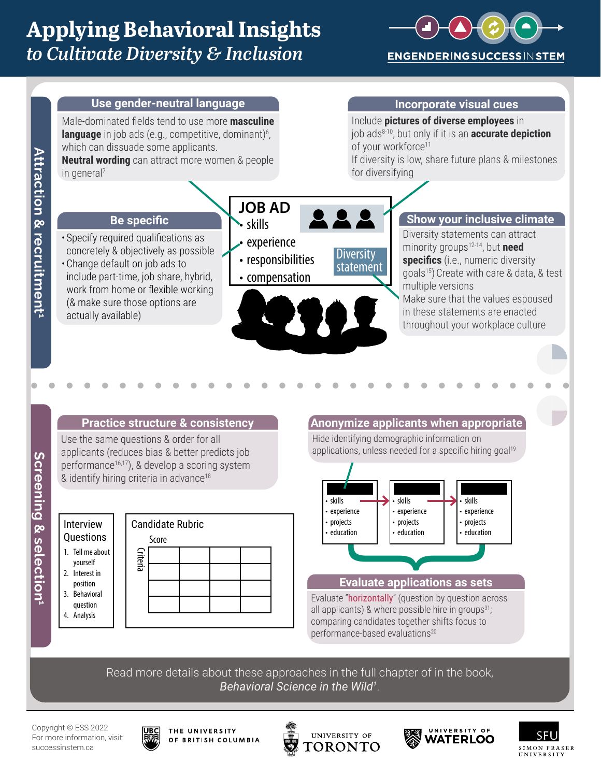





yourself

position

question 4. Analysis





Read more details about these approaches in the full chapter of in the book, *Behavioral Science in the Wild1* .

Copyright © ESS 2022 For more information, visit: successinstem.ca



THE UNIVERSITY OF BRITISH COLUMBIA





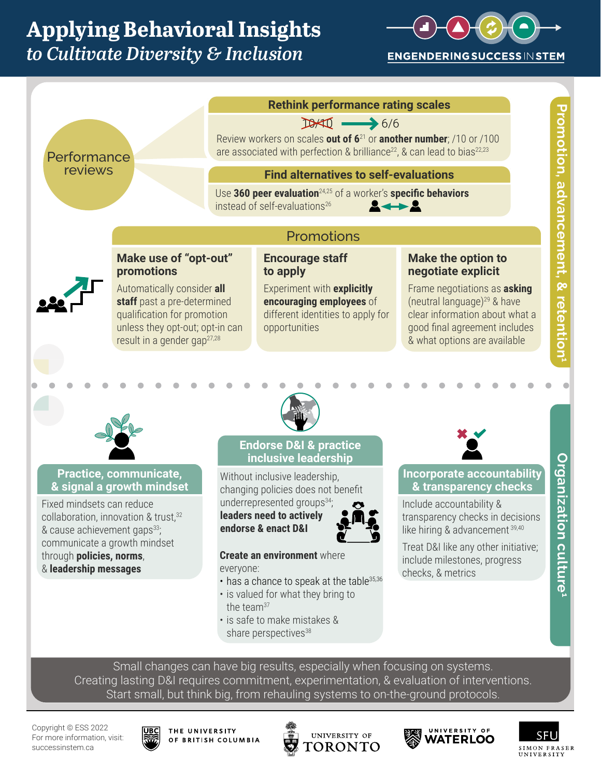



Creating lasting D&I requires commitment, experimentation, & evaluation of interventions. Start small, but think big, from rehauling systems to on-the-ground protocols.

Copyright © ESS 2022 For more information, visit: successinstem.ca